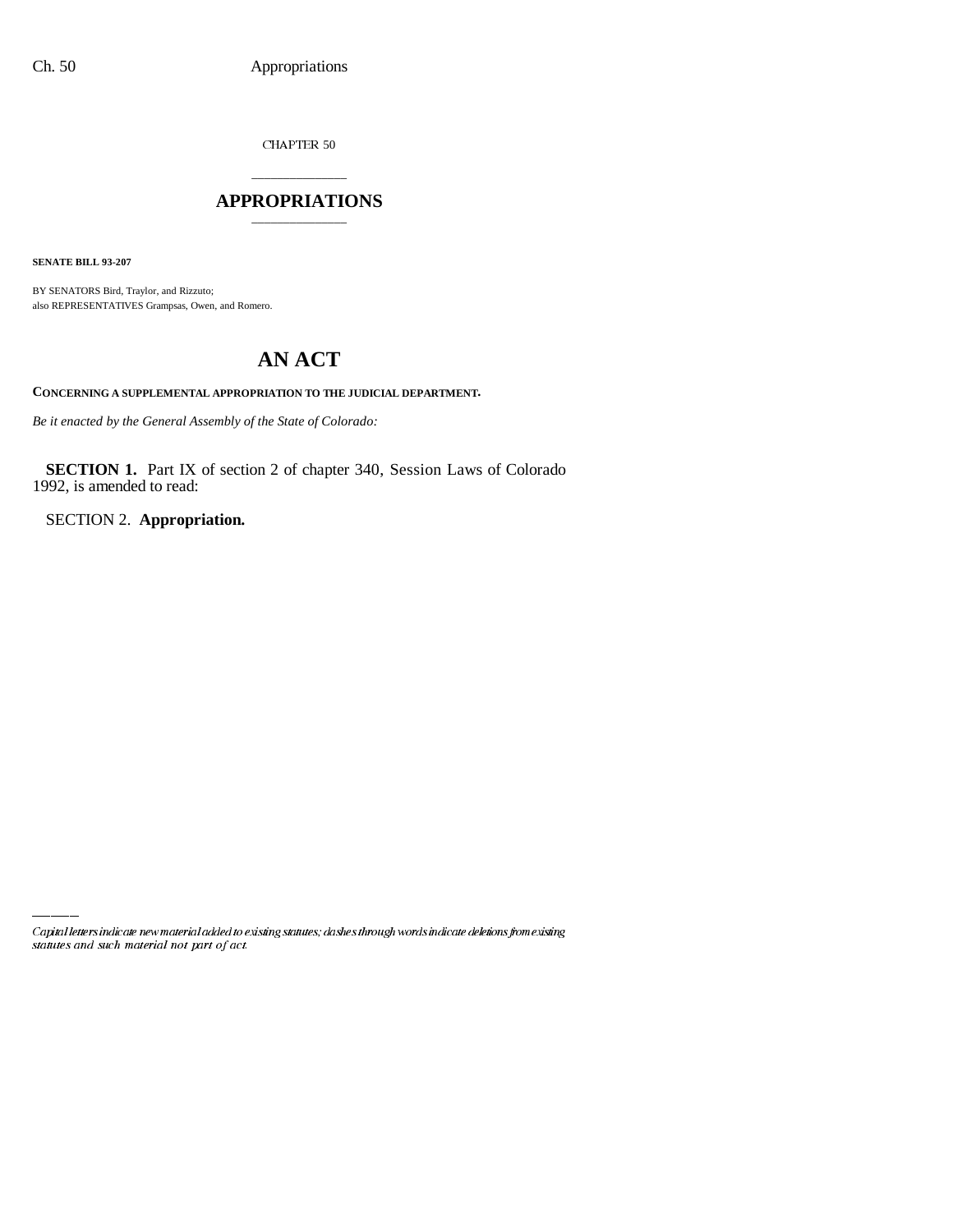CHAPTER  $50$ 

## \_\_\_\_\_\_\_\_\_\_\_\_\_\_\_ **APPROPRIATIONS** \_\_\_\_\_\_\_\_\_\_\_\_\_\_\_

**SENATE BILL 93-207**

BY SENATORS Bird, Traylor, and Rizzuto; also REPRESENTATIVES Grampsas, Owen, and Romero.

# **AN ACT**

**CONCERNING A SUPPLEMENTAL APPROPRIATION TO THE JUDICIAL DEPARTMENT.**

*Be it enacted by the General Assembly of the State of Colorado:*

**SECTION 1.** Part IX of section 2 of chapter 340, Session Laws of Colorado 1992, is amended to read:

SECTION 2. **Appropriation.**

Capital letters indicate new material added to existing statutes; dashes through words indicate deletions from existing statutes and such material not part of act.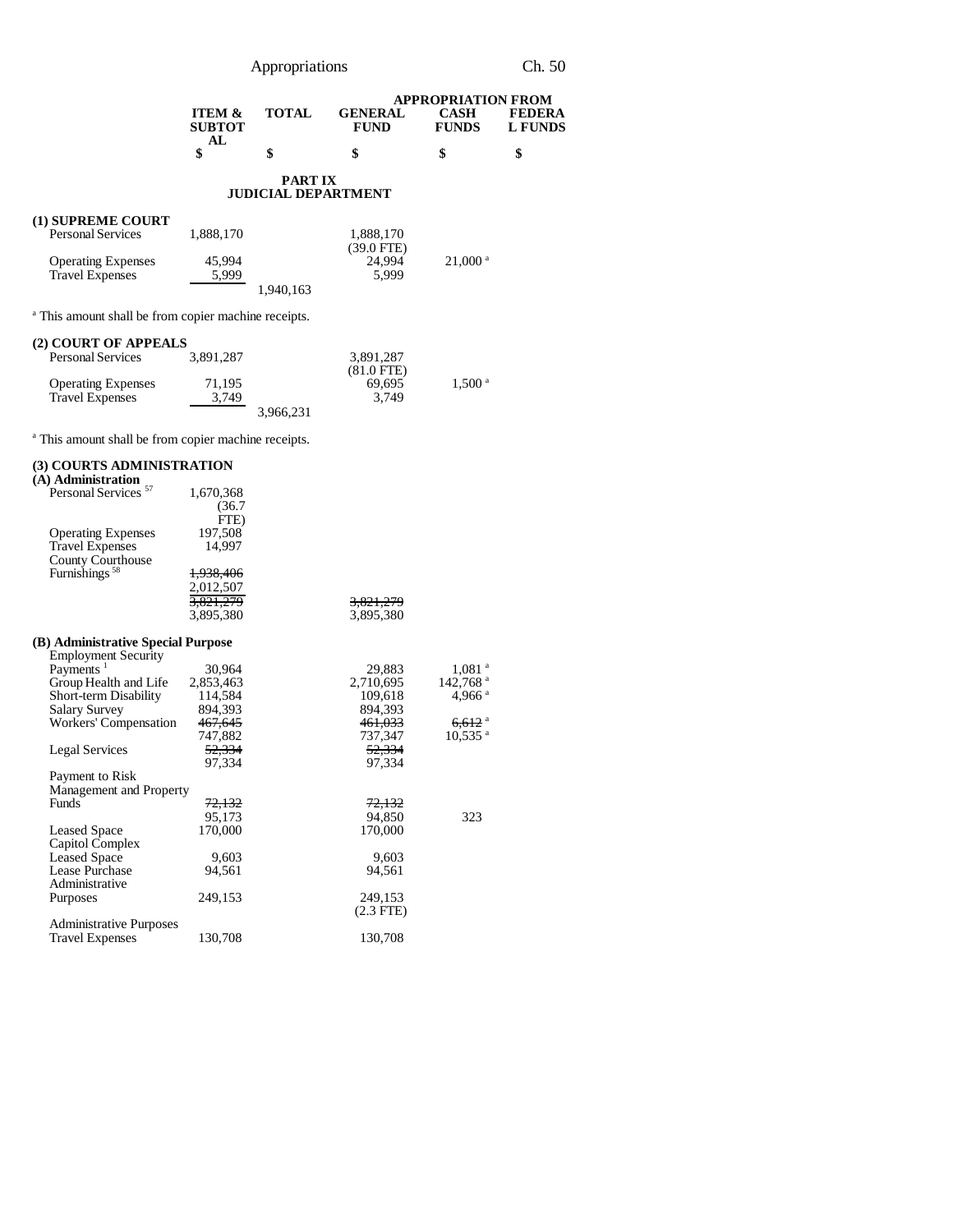Appropriations Ch. 50

|                                                         |              |                        | <b>APPROPRIATION FROM</b>   |                          |
|---------------------------------------------------------|--------------|------------------------|-----------------------------|--------------------------|
| <b>ITEM <math>\&amp;</math></b><br><b>SUBTOT</b><br>AI. | <b>TOTAL</b> | <b>GENERAL</b><br>FUND | <b>CASH</b><br><b>FUNDS</b> | <b>FEDERA</b><br>L FUNDS |
|                                                         |              |                        |                             |                          |

#### **PART IX JUDICIAL DEPARTMENT**

## **(1) SUPREME COURT**

| <b>Personal Services</b>  | 1.888.170 |           | 1.888.170    |                       |
|---------------------------|-----------|-----------|--------------|-----------------------|
|                           |           |           | $(39.0$ FTE) |                       |
| <b>Operating Expenses</b> | 45.994    |           | 24.994       | $21,000$ <sup>a</sup> |
| <b>Travel Expenses</b>    | 5.999     |           | 5.999        |                       |
|                           |           | 1.940.163 |              |                       |

<sup>a</sup> This amount shall be from copier machine receipts.

## **(2) COURT OF APPEALS**

| <b>Personal Services</b>  | 3.891.287 | 3.891.287    |                    |
|---------------------------|-----------|--------------|--------------------|
|                           |           | $(81.0$ FTE) |                    |
| <b>Operating Expenses</b> | 71.195    | 69.695       | 1.500 <sup>a</sup> |
| <b>Travel Expenses</b>    | 3.749     | 3.749        |                    |
|                           | 3.966.231 |              |                    |

<sup>a</sup> This amount shall be from copier machine receipts.

## **(3) COURTS ADMINISTRATION**

| (A) Administration                 |           |                    |                        |
|------------------------------------|-----------|--------------------|------------------------|
| Personal Services <sup>57</sup>    | 1,670,368 |                    |                        |
|                                    | (36.7)    |                    |                        |
|                                    | FTE)      |                    |                        |
| <b>Operating Expenses</b>          | 197,508   |                    |                        |
| <b>Travel Expenses</b>             | 14.997    |                    |                        |
| County Courthouse                  |           |                    |                        |
| Furnishings <sup>58</sup>          | 1,938,406 |                    |                        |
|                                    | 2,012,507 |                    |                        |
|                                    | 3,821,279 | 3,821,279          |                        |
|                                    | 3,895,380 | 3,895,380          |                        |
|                                    |           |                    |                        |
| (B) Administrative Special Purpose |           |                    |                        |
| <b>Employment Security</b>         |           |                    |                        |
| Payments <sup>1</sup>              | 30,964    | 29,883             | $1,081$ <sup>a</sup>   |
|                                    | 2,853,463 | 2,710,695          |                        |
| Group Health and Life              |           |                    | $142,768$ <sup>a</sup> |
| <b>Short-term Disability</b>       | 114,584   | 109,618            | 4,966 $a$              |
| Salary Survey                      | 894,393   | 894,393            |                        |
| Workers' Compensation              | 467,645   | <del>461,033</del> | $6,612$ <sup>a</sup>   |
|                                    | 747,882   | 737,347            | $10,535$ <sup>a</sup>  |
| <b>Legal Services</b>              | 52,334    | 52,334             |                        |
|                                    | 97,334    | 97,334             |                        |
| Payment to Risk                    |           |                    |                        |
| Management and Property            |           |                    |                        |
| <b>Funds</b>                       | 72,132    | 72,132             |                        |
|                                    | 95.173    | 94,850             | 323                    |
| <b>Leased Space</b>                | 170,000   | 170,000            |                        |
| Capitol Complex                    |           |                    |                        |
| <b>Leased Space</b>                | 9,603     | 9,603              |                        |
| Lease Purchase                     | 94,561    | 94,561             |                        |
| Administrative                     |           |                    |                        |
| Purposes                           | 249,153   | 249,153            |                        |
|                                    |           | $(2.3$ FTE)        |                        |
| <b>Administrative Purposes</b>     |           |                    |                        |
| <b>Travel Expenses</b>             | 130,708   | 130,708            |                        |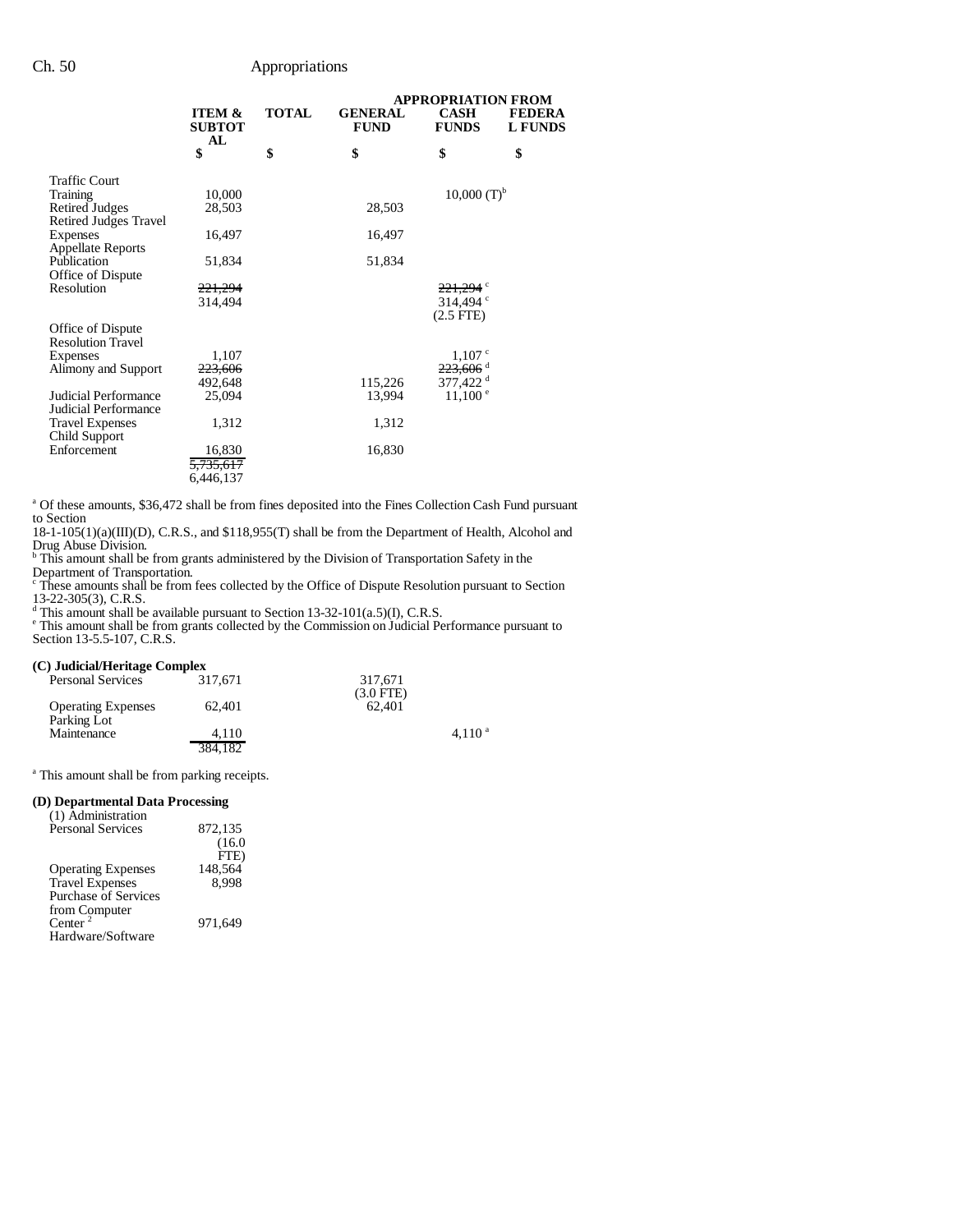## Ch. 50 Appropriations

|                                                                                                                                                                                    |                                                                                             |              |                                      | <b>APPROPRIATION FROM</b>                                                                                         |                                 |
|------------------------------------------------------------------------------------------------------------------------------------------------------------------------------------|---------------------------------------------------------------------------------------------|--------------|--------------------------------------|-------------------------------------------------------------------------------------------------------------------|---------------------------------|
|                                                                                                                                                                                    | <b>ITEM &amp;</b><br><b>SUBTOT</b><br>AL                                                    | <b>TOTAL</b> | <b>GENERAL</b><br><b>FUND</b>        | <b>CASH</b><br><b>FUNDS</b>                                                                                       | <b>FEDERA</b><br><b>L FUNDS</b> |
|                                                                                                                                                                                    | \$                                                                                          | \$           | \$                                   | \$                                                                                                                | \$                              |
| <b>Traffic Court</b>                                                                                                                                                               |                                                                                             |              |                                      | $10,000$ (T) <sup>b</sup>                                                                                         |                                 |
| <b>Training</b><br><b>Retired Judges</b>                                                                                                                                           | 10,000<br>28,503                                                                            |              | 28,503                               |                                                                                                                   |                                 |
| Retired Judges Travel                                                                                                                                                              |                                                                                             |              |                                      |                                                                                                                   |                                 |
| Expenses                                                                                                                                                                           | 16,497                                                                                      |              | 16,497                               |                                                                                                                   |                                 |
| <b>Appellate Reports</b>                                                                                                                                                           |                                                                                             |              |                                      |                                                                                                                   |                                 |
| Publication                                                                                                                                                                        | 51,834                                                                                      |              | 51,834                               |                                                                                                                   |                                 |
| Office of Dispute                                                                                                                                                                  |                                                                                             |              |                                      |                                                                                                                   |                                 |
| Resolution                                                                                                                                                                         | 221,294                                                                                     |              |                                      | 221.294 °                                                                                                         |                                 |
|                                                                                                                                                                                    | 314,494                                                                                     |              |                                      |                                                                                                                   |                                 |
|                                                                                                                                                                                    |                                                                                             |              |                                      |                                                                                                                   |                                 |
|                                                                                                                                                                                    |                                                                                             |              |                                      |                                                                                                                   |                                 |
|                                                                                                                                                                                    |                                                                                             |              |                                      |                                                                                                                   |                                 |
|                                                                                                                                                                                    |                                                                                             |              |                                      |                                                                                                                   |                                 |
|                                                                                                                                                                                    |                                                                                             |              |                                      |                                                                                                                   |                                 |
|                                                                                                                                                                                    |                                                                                             |              |                                      |                                                                                                                   |                                 |
|                                                                                                                                                                                    |                                                                                             |              |                                      |                                                                                                                   |                                 |
|                                                                                                                                                                                    |                                                                                             |              |                                      |                                                                                                                   |                                 |
|                                                                                                                                                                                    |                                                                                             |              |                                      |                                                                                                                   |                                 |
| Enforcement                                                                                                                                                                        |                                                                                             |              |                                      |                                                                                                                   |                                 |
|                                                                                                                                                                                    |                                                                                             |              |                                      |                                                                                                                   |                                 |
|                                                                                                                                                                                    | 6,446,137                                                                                   |              |                                      |                                                                                                                   |                                 |
| Office of Dispute<br><b>Resolution Travel</b><br>Expenses<br>Alimony and Support<br><b>Judicial Performance</b><br>Judicial Performance<br><b>Travel Expenses</b><br>Child Support | 1,107<br><del>223,606</del><br>492,648<br>25,094<br>1,312<br>16,830<br><del>5.735.617</del> |              | 115,226<br>13,994<br>1,312<br>16,830 | 314.494 $\degree$<br>$(2.5$ FTE $)$<br>1,107°<br><del>223,606</del> ª<br>377,422 <sup>d</sup><br>$11,100^{\circ}$ |                                 |

<sup>a</sup> Of these amounts, \$36,472 shall be from fines deposited into the Fines Collection Cash Fund pursuant to Section

18-1-105(1)(a)(III)(D), C.R.S., and \$118,955(T) shall be from the Department of Health, Alcohol and Drug Abuse Division. b This amount shall be from grants administered by the Division of Transportation Safety in the

Department of Transportation. c These amounts shall be from fees collected by the Office of Dispute Resolution pursuant to Section

13-22-305(3), C.R.S.<br>
<sup>d</sup> This amount shall be available pursuant to Section 13-32-101(a.5)(I), C.R.S.<br>
<sup>e</sup> This amount shall be from grants collected by the Commission on Judicial Performance pursuant to Section 13-5.5-107, C.R.S.

#### **(C) Judicial/Heritage Complex**

| <b>Personal Services</b>                 | 317.671 | 317.671<br>$(3.0$ FTE) |
|------------------------------------------|---------|------------------------|
| <b>Operating Expenses</b><br>Parking Lot | 62.401  | 62.401                 |
| Maintenance                              | 4.110   | $4.110^{a}$            |
|                                          | 384.182 |                        |

<sup>a</sup> This amount shall be from parking receipts.

#### **(D) Departmental Data Processing**

| (1) Administration          |         |
|-----------------------------|---------|
| <b>Personal Services</b>    | 872,135 |
|                             | (16.0)  |
|                             | FTE)    |
| <b>Operating Expenses</b>   | 148,564 |
| <b>Travel Expenses</b>      | 8.998   |
| <b>Purchase of Services</b> |         |
| from Computer               |         |
| Center <sup>2</sup>         | 971.649 |
| Hardware/Software           |         |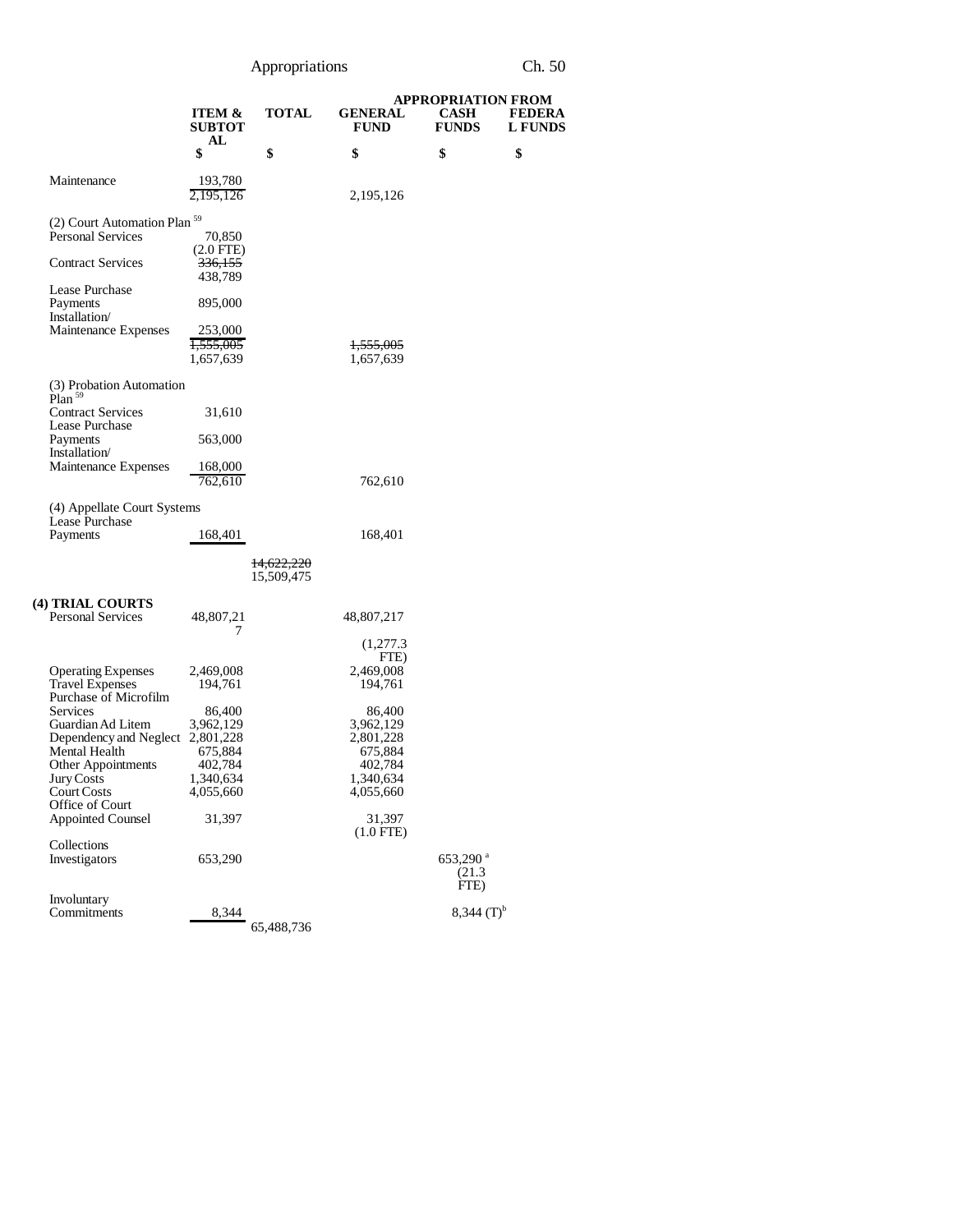Appropriations Ch. 50

|                                                                              |                                              |                          |                                   | <b>APPROPRIATION FROM</b>              |                                 |
|------------------------------------------------------------------------------|----------------------------------------------|--------------------------|-----------------------------------|----------------------------------------|---------------------------------|
|                                                                              | <b>ITEM &amp;</b><br><b>SUBTOT</b><br>AL     | <b>TOTAL</b>             | <b>GENERAL</b><br><b>FUND</b>     | <b>CASH</b><br><b>FUNDS</b>            | <b>FEDERA</b><br><b>L</b> FUNDS |
|                                                                              | \$                                           | \$                       | \$                                | \$                                     | \$                              |
| Maintenance                                                                  | 193,780<br>2,195,126                         |                          | 2,195,126                         |                                        |                                 |
| (2) Court Automation Plan <sup>59</sup><br><b>Personal Services</b>          | 70,850                                       |                          |                                   |                                        |                                 |
| <b>Contract Services</b>                                                     | $(2.0$ FTE)<br><del>336,155</del><br>438,789 |                          |                                   |                                        |                                 |
| Lease Purchase<br>Payments<br>Installation                                   | 895,000                                      |                          |                                   |                                        |                                 |
| Maintenance Expenses                                                         | 253,000<br><del>1,555,005</del><br>1,657,639 |                          | <del>1,555,005</del><br>1,657,639 |                                        |                                 |
| (3) Probation Automation<br>Plan <sup>59</sup>                               |                                              |                          |                                   |                                        |                                 |
| <b>Contract Services</b><br>Lease Purchase                                   | 31,610                                       |                          |                                   |                                        |                                 |
| Payments<br>Installation/                                                    | 563,000                                      |                          |                                   |                                        |                                 |
| Maintenance Expenses                                                         | 168,000<br>762,610                           |                          | 762,610                           |                                        |                                 |
| (4) Appellate Court Systems<br>Lease Purchase                                |                                              |                          |                                   |                                        |                                 |
| Payments                                                                     | 168,401                                      |                          | 168,401                           |                                        |                                 |
|                                                                              |                                              | 14,622,220<br>15,509,475 |                                   |                                        |                                 |
| (4) TRIAL COURTS                                                             |                                              |                          |                                   |                                        |                                 |
| <b>Personal Services</b>                                                     | 48,807,21<br>7                               |                          | 48,807,217                        |                                        |                                 |
|                                                                              |                                              |                          | (1,277.3)<br>FTE)                 |                                        |                                 |
| <b>Operating Expenses</b><br><b>Travel Expenses</b><br>Purchase of Microfilm | 2,469,008<br>194,761                         |                          | 2,469,008<br>194,761              |                                        |                                 |
| Services<br>Guardian Ad Litem                                                | 86,400<br>3,962,129                          |                          | 86,400<br>3,962,129               |                                        |                                 |
| Dependency and Neglect 2,801,228                                             |                                              |                          | 2,801,228                         |                                        |                                 |
| Mental Health                                                                | 675,884                                      |                          | 675,884                           |                                        |                                 |
| Other Appointments                                                           | 402,784                                      |                          | 402,784                           |                                        |                                 |
| Jury Costs<br><b>Court Costs</b>                                             | 1,340,634<br>4,055,660                       |                          | 1,340,634<br>4,055,660            |                                        |                                 |
| Office of Court                                                              |                                              |                          |                                   |                                        |                                 |
| <b>Appointed Counsel</b>                                                     | 31,397                                       |                          | 31,397<br>$(1.0$ FTE)             |                                        |                                 |
| Collections<br>Investigators                                                 | 653,290                                      |                          |                                   | 653,290 <sup>a</sup><br>(21.3)<br>FTE) |                                 |
| Involuntary                                                                  |                                              |                          |                                   |                                        |                                 |
| Commitments                                                                  | 8,344                                        | 65,488,736               |                                   | $8,344$ (T) <sup>b</sup>               |                                 |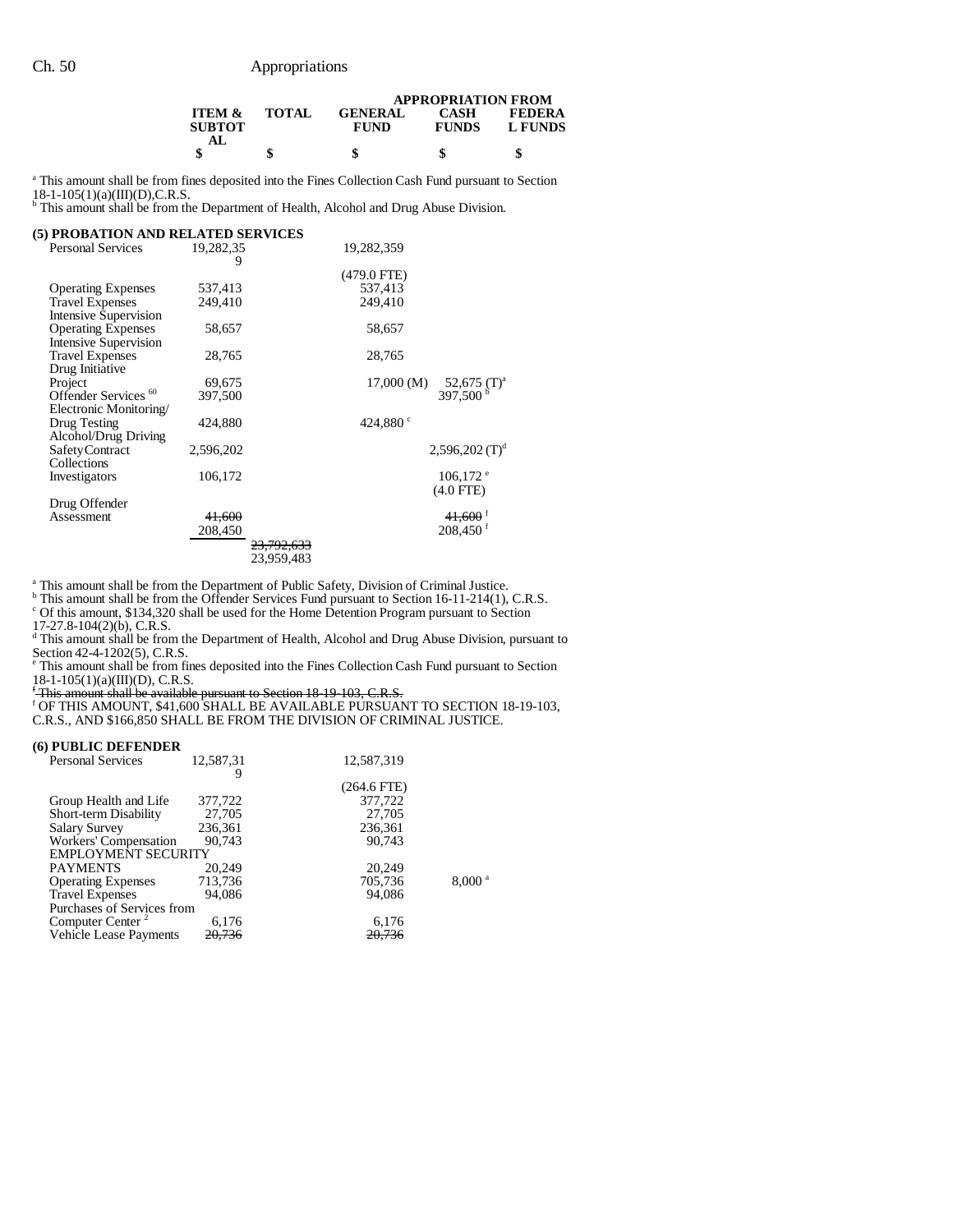|                                    |              |                               | <b>APPROPRIATION FROM</b>   |                          |
|------------------------------------|--------------|-------------------------------|-----------------------------|--------------------------|
| <b>ITEM &amp;</b><br>SUBTOT<br>AL. | <b>TOTAL</b> | <b>GENERAL</b><br><b>FUND</b> | <b>CASH</b><br><b>FUNDS</b> | <b>FEDERA</b><br>L FUNDS |
|                                    |              | S                             | S                           |                          |

<sup>a</sup> This amount shall be from fines deposited into the Fines Collection Cash Fund pursuant to Section  $18-1-105(1)(a)(III)(D), C.R.S.$ <br><sup>b</sup> This amount shall be from the Department of Health, Alcohol and Drug Abuse Division.

| (5) PROBATION AND RELATED SERVICES |                |                       |                    |                                                   |
|------------------------------------|----------------|-----------------------|--------------------|---------------------------------------------------|
| <b>Personal Services</b>           | 19,282,35<br>9 |                       | 19,282,359         |                                                   |
|                                    |                |                       | $(479.0$ FTE)      |                                                   |
| <b>Operating Expenses</b>          | 537,413        |                       | 537,413            |                                                   |
| <b>Travel Expenses</b>             | 249,410        |                       | 249,410            |                                                   |
| <b>Intensive Supervision</b>       |                |                       |                    |                                                   |
| <b>Operating Expenses</b>          | 58,657         |                       | 58,657             |                                                   |
| <b>Intensive Supervision</b>       |                |                       |                    |                                                   |
| <b>Travel Expenses</b>             | 28,765         |                       | 28,765             |                                                   |
| Drug Initiative                    |                |                       |                    |                                                   |
| Project                            | 69,675         |                       | $17,000 \ (M)$     | $52,675$ (T) <sup>a</sup><br>397.500 <sup>b</sup> |
| Offender Services <sup>60</sup>    | 397,500        |                       |                    |                                                   |
| Electronic Monitoring/             |                |                       |                    |                                                   |
| Drug Testing                       | 424,880        |                       | 424,880 $^{\circ}$ |                                                   |
| Alcohol/Drug Driving               |                |                       |                    |                                                   |
| Safety Contract                    | 2,596,202      |                       |                    | $2,596,202$ (T) <sup>d</sup>                      |
| Collections                        |                |                       |                    |                                                   |
| Investigators                      | 106,172        |                       |                    | $106,172$ <sup>e</sup>                            |
|                                    |                |                       |                    | $(4.0$ FTE $)$                                    |
| Drug Offender                      |                |                       |                    |                                                   |
| Assessment                         | 41,600         |                       |                    | $41,600$ <sup>1</sup>                             |
|                                    | 208,450        |                       |                    | $208,450$ <sup>f</sup>                            |
|                                    |                | <del>23.792.633</del> |                    |                                                   |
|                                    |                | 23,959,483            |                    |                                                   |

<sup>a</sup> This amount shall be from the Department of Public Safety, Division of Criminal Justice.<br><sup>b</sup> This amount shall be from the Offender Services Fund pursuant to Section 16-11-214(1), C.R.S.

c Of this amount, \$134,320 shall be used for the Home Detention Program pursuant to Section

17-27.8-104(2)(b), C.R.S. d This amount shall be from the Department of Health, Alcohol and Drug Abuse Division, pursuant to

Section 42-4-1202(5), C.R.S.<br>
Finis amount shall be from fines deposited into the Fines Collection Cash Fund pursuant to Section

18-1-105(1)(a)(III)(D), C.R.S.<br><del><sup>f</sup> This amount shall be available pursuant to Section 18-19-103, C.R.S.</del><br><sup>f</sup> OF THIS AMOUNT, \$41,600 SHALL BE AVAILABLE PURSUANT TO SECTION 18-19-103, C.R.S., AND \$166,850 SHALL BE FROM THE DIVISION OF CRIMINAL JUSTICE.

#### **(6) PUBLIC DEFENDER**

| I LODLIC DEI EIDER           |           |               |                      |
|------------------------------|-----------|---------------|----------------------|
| <b>Personal Services</b>     | 12.587.31 | 12,587,319    |                      |
|                              |           | $(264.6$ FTE) |                      |
| Group Health and Life        | 377,722   | 377,722       |                      |
| Short-term Disability        | 27,705    | 27,705        |                      |
| <b>Salary Survey</b>         | 236,361   | 236,361       |                      |
| Workers' Compensation        | 90.743    | 90.743        |                      |
| <b>EMPLOYMENT SECURITY</b>   |           |               |                      |
| <b>PAYMENTS</b>              | 20,249    | 20.249        |                      |
| <b>Operating Expenses</b>    | 713,736   | 705,736       | $8,000$ <sup>a</sup> |
| <b>Travel Expenses</b>       | 94.086    | 94.086        |                      |
| Purchases of Services from   |           |               |                      |
| Computer Center <sup>2</sup> | 6,176     | 6,176         |                      |
| Vehicle Lease Payments       | 20,736    | 20,736        |                      |
|                              |           |               |                      |